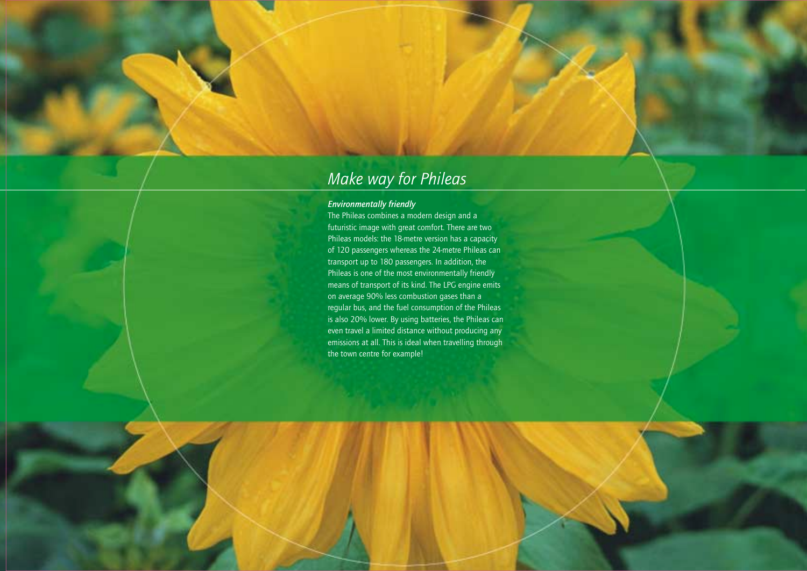## *Make way for Phileas*

### *Environmentally friendly*

The Phileas combines a modern design and a futuristic image with great comfort. There are two Phileas models: the 18-metre version has a capacity of 120 passengers whereas the 24-metre Phileas can transport up to 180 passengers. In addition, the Phileas is one of the most environmentally friendly means of transport of its kind. The LPG engine emits on average 90% less combustion gases than a regular bus, and the fuel consumption of the Phileas is also 20% lower. By using batteries, the Phileas can even travel a limited distance without producing any emissions at all. This is ideal when travelling through the town centre for example!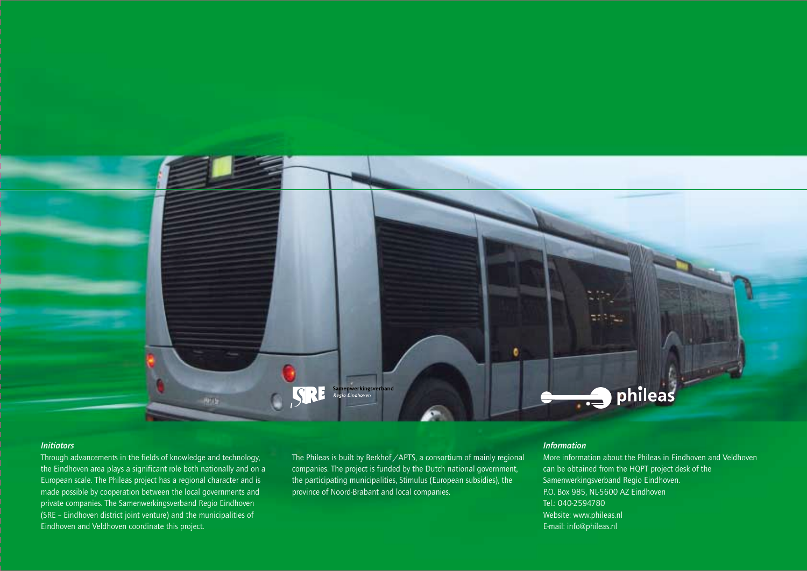

#### *Initiators*

Through advancements in the fields of knowledge and technology, the Eindhoven area plays a significant role both nationally and on a European scale. The Phileas project has a regional character and is made possible by cooperation between the local governments and private companies. The Samenwerkingsverband Regio Eindhoven (SRE – Eindhoven district joint venture) and the municipalities of Eindhoven and Veldhoven coordinate this project.

The Phileas is built by Berkhof /APTS, a consortium of mainly regional companies. The project is funded by the Dutch national government, the participating municipalities, Stimulus (European subsidies), the province of Noord-Brabant and local companies.

### *Information*

More information about the Phileas in Eindhoven and Veldhoven can be obtained from the HQPT project desk of the Samenwerkingsverband Regio Eindhoven. P.O. Box 985, NL-5600 AZ Eindhoven Tel.: 040-2594780 Website: www.phileas.nl E-mail: info@phileas.nl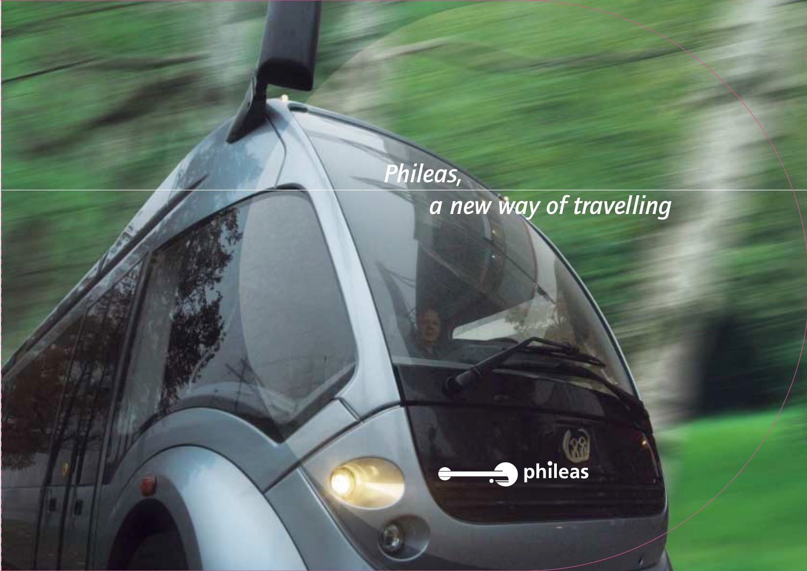# *Phileas, a new way of travelling*



r.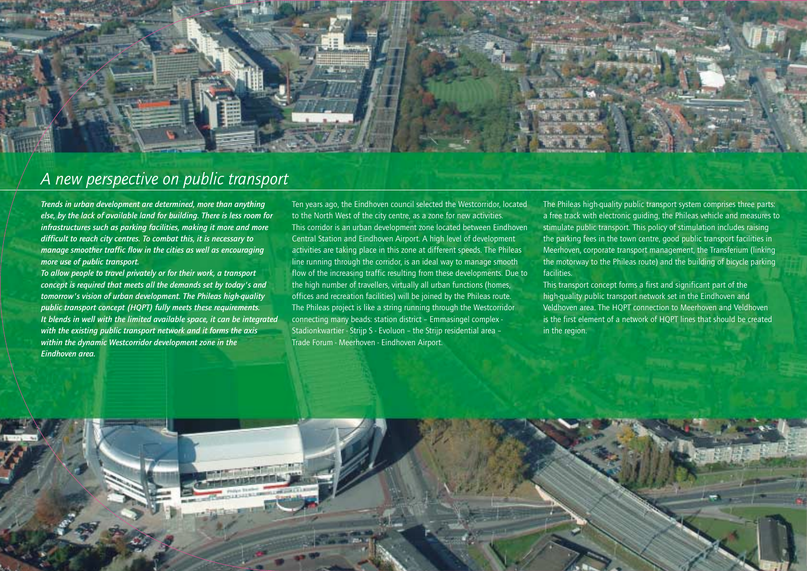

### *A new perspective on public transport*

*Trends in urban development are determined, more than anything else, by the lack of available land for building. There is less room for infrastructures such as parking facilities, making it more and more difficult to reach city centres. To combat this, it is necessary to manage smoother traffic flow in the cities as well as encouraging more use of public transport.*

*To allow people to travel privately or for their work, a transport concept is required that meets all the demands set by today's and tomorrow's vision of urban development. The Phileas high-quality public transport concept (HQPT) fully meets these requirements. It blends in well with the limited available space, it can be integrated with the existing public transport network and it forms the axis within the dynamic Westcorridor development zone in the Eindhoven area.* 

Ten years ago, the Eindhoven council selected the Westcorridor, located to the North West of the city centre, as a zone for new activities. This corridor is an urban development zone located between Eindhoven Central Station and Eindhoven Airport. A high level of development activities are taking place in this zone at different speeds. The Phileas line running through the corridor, is an ideal way to manage smooth flow of the increasing traffic resulting from these developments. Due to the high number of travellers, virtually all urban functions (homes, offices and recreation facilities) will be joined by the Phileas route. The Phileas project is like a string running through the Westcorridor connecting many beads: station district – Emmasingel complex - Stadionkwartier - Strijp S - Evoluon – the Strijp residential area – Trade Forum - Meerhoven - Eindhoven Airport.

The Phileas high-quality public transport system comprises three parts: a free track with electronic guiding, the Phileas vehicle and measures to stimulate public transport. This policy of stimulation includes raising the parking fees in the town centre, good public transport facilities in Meerhoven, corporate transport management, the Transferium (linking the motorway to the Phileas route) and the building of bicycle parking facilities.

This transport concept forms a first and significant part of the high-quality public transport network set in the Eindhoven and Veldhoven area. The HQPT connection to Meerhoven and Veldhoven is the first element of a network of HQPT lines that should be created in the region.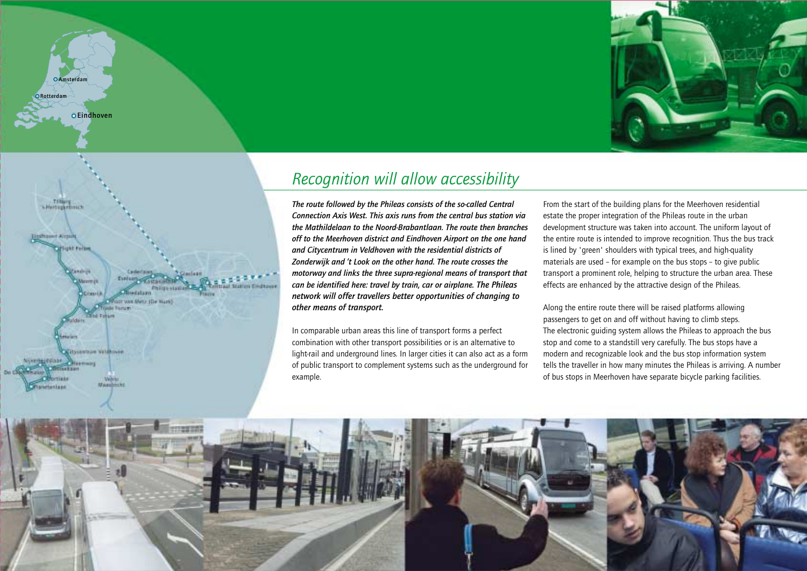



**Amsterdam**

**Rotterdam**

**Eindhoven**

## *Recognition will allow accessibility*

*The route followed by the Phileas consists of the so-called Central Connection Axis West. This axis runs from the central bus station via the Mathildelaan to the Noord-Brabantlaan. The route then branches off to the Meerhoven district and Eindhoven Airport on the one hand and Citycentrum in Veldhoven with the residential districts of Zonderwijk and 't Look on the other hand. The route crosses the motorway and links the three supra-regional means of transport that can be identified here: travel by train, car or airplane. The Phileas network will offer travellers better opportunities of changing to other means of transport.*

In comparable urban areas this line of transport forms a perfect combination with other transport possibilities or is an alternative to light-rail and underground lines. In larger cities it can also act as a form of public transport to complement systems such as the underground for example.

From the start of the building plans for the Meerhoven residential estate the proper integration of the Phileas route in the urban development structure was taken into account. The uniform layout of the entire route is intended to improve recognition. Thus the bus track is lined by 'green' shoulders with typical trees, and high-quality materials are used – for example on the bus stops – to give public transport a prominent role, helping to structure the urban area. These effects are enhanced by the attractive design of the Phileas.

Along the entire route there will be raised platforms allowing passengers to get on and off without having to climb steps. The electronic guiding system allows the Phileas to approach the bus stop and come to a standstill very carefully. The bus stops have a modern and recognizable look and the bus stop information system tells the traveller in how many minutes the Phileas is arriving. A number of bus stops in Meerhoven have separate bicycle parking facilities.